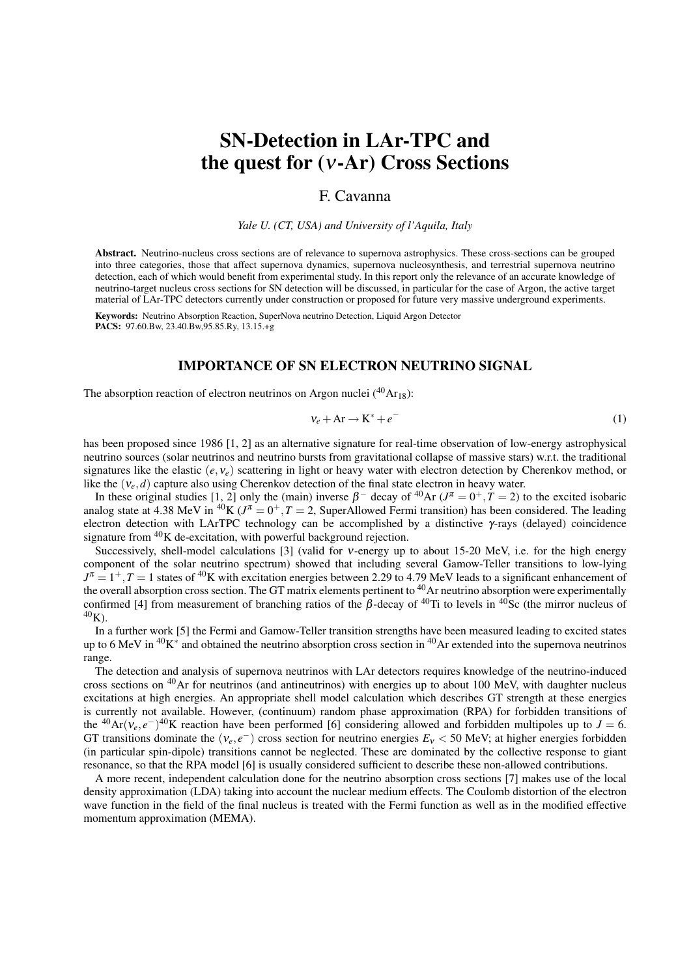# SN-Detection in LAr-TPC and the quest for (ν-Ar) Cross Sections

## F. Cavanna

*Yale U. (CT, USA) and University of l'Aquila, Italy*

Abstract. Neutrino-nucleus cross sections are of relevance to supernova astrophysics. These cross-sections can be grouped into three categories, those that affect supernova dynamics, supernova nucleosynthesis, and terrestrial supernova neutrino detection, each of which would benefit from experimental study. In this report only the relevance of an accurate knowledge of neutrino-target nucleus cross sections for SN detection will be discussed, in particular for the case of Argon, the active target material of LAr-TPC detectors currently under construction or proposed for future very massive underground experiments.

Keywords: Neutrino Absorption Reaction, SuperNova neutrino Detection, Liquid Argon Detector PACS: 97.60.Bw, 23.40.Bw,95.85.Ry, 13.15.+g

## IMPORTANCE OF SN ELECTRON NEUTRINO SIGNAL

The absorption reaction of electron neutrinos on Argon nuclei  $(^{40}Ar_{18})$ :

$$
v_e + Ar \rightarrow K^* + e^- \tag{1}
$$

has been proposed since 1986 [1, 2] as an alternative signature for real-time observation of low-energy astrophysical neutrino sources (solar neutrinos and neutrino bursts from gravitational collapse of massive stars) w.r.t. the traditional signatures like the elastic  $(e, v_e)$  scattering in light or heavy water with electron detection by Cherenkov method, or like the  $(v_e, d)$  capture also using Cherenkov detection of the final state electron in heavy water.

In these original studies [1, 2] only the (main) inverse  $\beta^-$  decay of <sup>40</sup>Ar ( $J^{\pi} = 0^+, T = 2$ ) to the excited isobaric analog state at 4.38 MeV in <sup>40</sup>K ( $J^{\pi} = 0^+, T = 2$ , SuperAllowed Fermi transition) has been considered. The leading electron detection with LArTPC technology can be accomplished by a distinctive  $\gamma$ -rays (delayed) coincidence signature from <sup>40</sup>K de-excitation, with powerful background rejection.

Successively, shell-model calculations [3] (valid for ν-energy up to about 15-20 MeV, i.e. for the high energy component of the solar neutrino spectrum) showed that including several Gamow-Teller transitions to low-lying  $J^{\pi} = 1^+, T = 1$  states of <sup>40</sup>K with excitation energies between 2.29 to 4.79 MeV leads to a significant enhancement of the overall absorption cross section. The GT matrix elements pertinent to <sup>40</sup>Ar neutrino absorption were experimentally confirmed [4] from measurement of branching ratios of the  $\beta$ -decay of <sup>40</sup>Ti to levels in <sup>40</sup>Sc (the mirror nucleus of  $40K$ ).

In a further work [5] the Fermi and Gamow-Teller transition strengths have been measured leading to excited states up to 6 MeV in  $40K^*$  and obtained the neutrino absorption cross section in  $40Ar$  extended into the supernova neutrinos range.

The detection and analysis of supernova neutrinos with LAr detectors requires knowledge of the neutrino-induced cross sections on <sup>40</sup>Ar for neutrinos (and antineutrinos) with energies up to about 100 MeV, with daughter nucleus excitations at high energies. An appropriate shell model calculation which describes GT strength at these energies is currently not available. However, (continuum) random phase approximation (RPA) for forbidden transitions of the <sup>40</sup>Ar( $v_e, e^{-}$ )<sup>40</sup>K reaction have been performed [6] considering allowed and forbidden multipoles up to *J* = 6. GT transitions dominate the  $(v_e, e^-)$  cross section for neutrino energies  $E_v < 50$  MeV; at higher energies forbidden (in particular spin-dipole) transitions cannot be neglected. These are dominated by the collective response to giant resonance, so that the RPA model [6] is usually considered sufficient to describe these non-allowed contributions.

A more recent, independent calculation done for the neutrino absorption cross sections [7] makes use of the local density approximation (LDA) taking into account the nuclear medium effects. The Coulomb distortion of the electron wave function in the field of the final nucleus is treated with the Fermi function as well as in the modified effective momentum approximation (MEMA).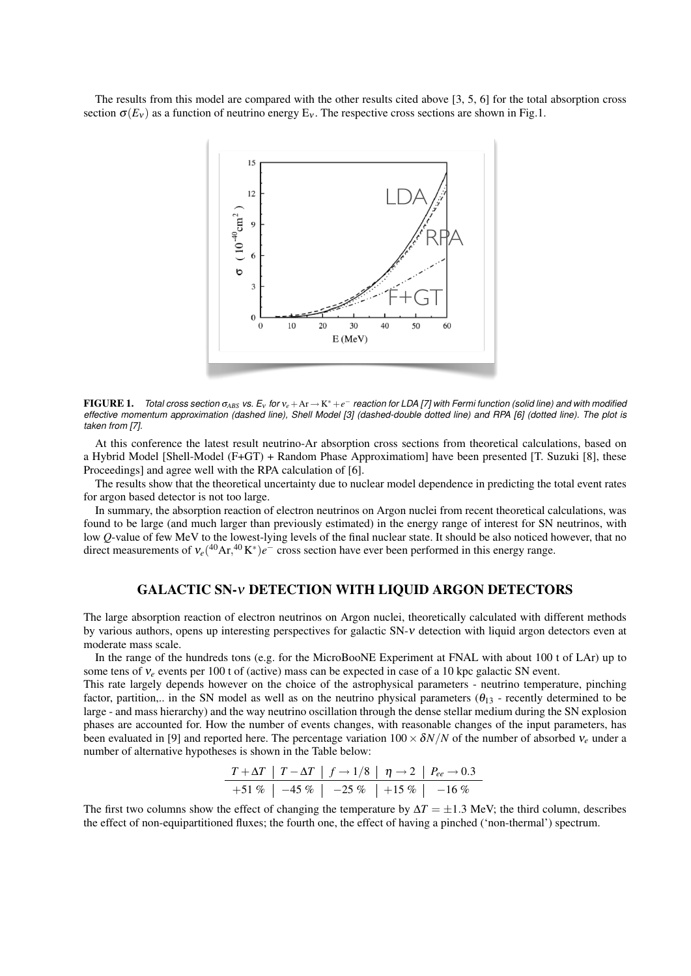The results from this model are compared with the other results cited above [3, 5, 6] for the total absorption cross section  $\sigma(E_v)$  as a function of neutrino energy  $E_v$ . The respective cross sections are shown in Fig.1.



FIGURE 1. *Total cross section* σ*ABS vs. E*<sup>ν</sup> *for* ν*<sup>e</sup>* +Ar → K <sup>∗</sup> +*e* <sup>−</sup> *reaction for LDA [7] with Fermi function (solid line) and with modified effective momentum approximation (dashed line), Shell Model [3] (dashed-double dotted line) and RPA [6] (dotted line). The plot is taken from [7].*

At this conference the latest result neutrino-Ar absorption cross sections from theoretical calculations, based on a Hybrid Model [Shell-Model (F+GT) + Random Phase Approximatiom] have been presented [T. Suzuki [8], these Proceedings] and agree well with the RPA calculation of [6].

The results show that the theoretical uncertainty due to nuclear model dependence in predicting the total event rates for argon based detector is not too large.

In summary, the absorption reaction of electron neutrinos on Argon nuclei from recent theoretical calculations, was found to be large (and much larger than previously estimated) in the energy range of interest for SN neutrinos, with low Q-value of few MeV to the lowest-lying levels of the final nuclear state. It should be also noticed however, that no direct measurements of  $v_e(^{40}Ar, ^{40}K^*)e^-$  cross section have ever been performed in this energy range.

### GALACTIC SN-ν DETECTION WITH LIQUID ARGON DETECTORS

The large absorption reaction of electron neutrinos on Argon nuclei, theoretically calculated with different methods by various authors, opens up interesting perspectives for galactic SN-ν detection with liquid argon detectors even at moderate mass scale.

In the range of the hundreds tons (e.g. for the MicroBooNE Experiment at FNAL with about 100 t of LAr) up to some tens of ν*<sup>e</sup>* events per 100 t of (active) mass can be expected in case of a 10 kpc galactic SN event.

This rate largely depends however on the choice of the astrophysical parameters - neutrino temperature, pinching factor, partition,.. in the SN model as well as on the neutrino physical parameters  $(\theta_{13}$  - recently determined to be large - and mass hierarchy) and the way neutrino oscillation through the dense stellar medium during the SN explosion phases are accounted for. How the number of events changes, with reasonable changes of the input parameters, has been evaluated in [9] and reported here. The percentage variation  $100 \times \delta N/N$  of the number of absorbed  $v_e$  under a number of alternative hypotheses is shown in the Table below:

*T* +∆*T T* −∆*T f* → 1/8 η → 2 *Pee* → 0.3 +51 % −45 % −25 % +15 % −16 %

The first two columns show the effect of changing the temperature by  $\Delta T = \pm 1.3$  MeV; the third column, describes the effect of non-equipartitioned fluxes; the fourth one, the effect of having a pinched ('non-thermal') spectrum.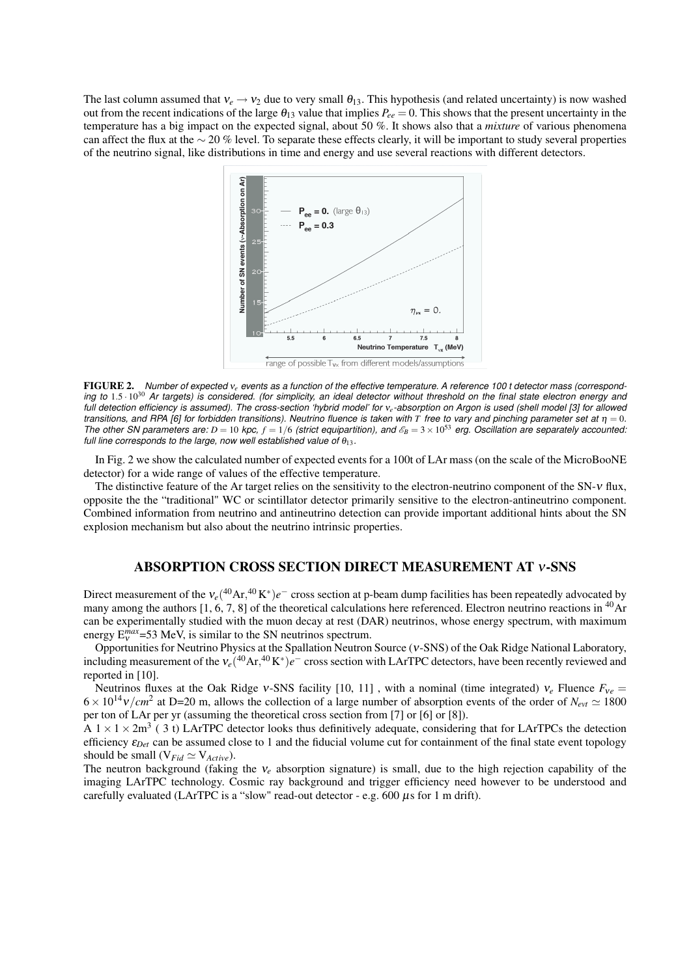The last column assumed that  $v_e \rightarrow v_2$  due to very small  $\theta_{13}$ . This hypothesis (and related uncertainty) is now washed out from the recent indications of the large  $\theta_{13}$  value that implies  $P_{ee} = 0$ . This shows that the present uncertainty in the temperature has a big impact on the expected signal, about 50 %. It shows also that a *mixture* of various phenomena can affect the flux at the ∼ 20 % level. To separate these effects clearly, it will be important to study several properties of the neutrino signal, like distributions in time and energy and use several reactions with different detectors.



FIGURE 2. *Number of expected* ν*<sup>e</sup> events as a function of the effective temperature. A reference 100 t detector mass (corresponding to* 1.5 · 10<sup>30</sup> *Ar targets) is considered. (for simplicity, an ideal detector without threshold on the final state electron energy and full detection efficiency is assumed). The cross-section 'hybrid model' for* ν*e-absorption on Argon is used (shell model [3] for allowed transitions, and RPA [6] for forbidden transitions). Neutrino fluence is taken with T free to vary and pinching parameter set at* η = 0*. The other SN parameters are:*  $D = 10$  *kpc,*  $f = 1/6$  *(strict equipartition), and*  $\mathscr{E}_B = 3 \times 10^{53}$  *erg. Oscillation are separately accounted: full line corresponds to the large, now well established value of*  $\theta_{13}$ *.* 

In Fig. 2 we show the calculated number of expected events for a 100t of LAr mass (on the scale of the MicroBooNE detector) for a wide range of values of the effective temperature.

The distinctive feature of the Ar target relies on the sensitivity to the electron-neutrino component of the SN-ν flux, opposite the the "traditional" WC or scintillator detector primarily sensitive to the electron-antineutrino component. Combined information from neutrino and antineutrino detection can provide important additional hints about the SN explosion mechanism but also about the neutrino intrinsic properties.

#### ABSORPTION CROSS SECTION DIRECT MEASUREMENT AT ν-SNS

Direct measurement of the  $v_e(^{40}\text{Ar}, ^{40}\text{K}^*)e^-$  cross section at p-beam dump facilities has been repeatedly advocated by many among the authors  $[1, 6, 7, 8]$  of the theoretical calculations here referenced. Electron neutrino reactions in <sup>40</sup>Ar can be experimentally studied with the muon decay at rest (DAR) neutrinos, whose energy spectrum, with maximum energy  $E_v^{max}$ =53 MeV, is similar to the SN neutrinos spectrum.

Opportunities for Neutrino Physics at the Spallation Neutron Source (ν-SNS) of the Oak Ridge National Laboratory, including measurement of the  $v_e(^{40}Ar, ^{40}K^*)e^-$  cross section with LArTPC detectors, have been recently reviewed and reported in [10].

Neutrinos fluxes at the Oak Ridge v-SNS facility [10, 11], with a nominal (time integrated)  $v_e$  Fluence  $F_{ve}$  $6 \times 10^{14}$  v/cm<sup>2</sup> at D=20 m, allows the collection of a large number of absorption events of the order of  $N_{\text{evt}} \simeq 1800$ per ton of LAr per yr (assuming the theoretical cross section from [7] or [6] or [8]).

A  $1 \times 1 \times 2$ m<sup>3</sup> (3 t) LArTPC detector looks thus definitively adequate, considering that for LArTPCs the detection efficiency  $\varepsilon_{Det}$  can be assumed close to 1 and the fiducial volume cut for containment of the final state event topology should be small  $(V_{Fid} \simeq V_{Active})$ .

The neutron background (faking the ν*<sup>e</sup>* absorption signature) is small, due to the high rejection capability of the imaging LArTPC technology. Cosmic ray background and trigger efficiency need however to be understood and carefully evaluated (LArTPC is a "slow" read-out detector - e.g.  $600 \mu s$  for 1 m drift).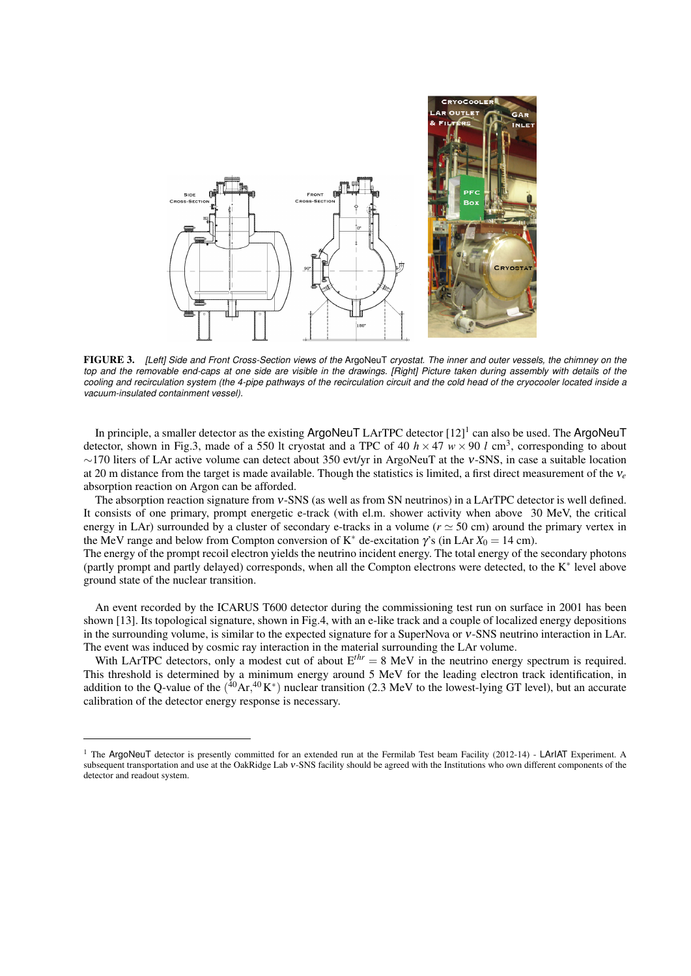

FIGURE 3. *[Left] Side and Front Cross-Section views of the* ArgoNeuT *cryostat. The inner and outer vessels, the chimney on the top and the removable end-caps at one side are visible in the drawings. [Right] Picture taken during assembly with details of the cooling and recirculation system (the 4-pipe pathways of the recirculation circuit and the cold head of the cryocooler located inside a vacuum-insulated containment vessel).*

In principle, a smaller detector as the existing ArgoNeuT LArTPC detector [12]<sup>1</sup> can also be used. The ArgoNeuT detector, shown in Fig.3, made of a 550 lt cryostat and a TPC of 40  $h \times 47$   $w \times 90$  l cm<sup>3</sup>, corresponding to about ∼170 liters of LAr active volume can detect about 350 evt/yr in ArgoNeuT at the ν-SNS, in case a suitable location at 20 m distance from the target is made available. Though the statistics is limited, a first direct measurement of the ν*<sup>e</sup>* absorption reaction on Argon can be afforded.

The absorption reaction signature from ν-SNS (as well as from SN neutrinos) in a LArTPC detector is well defined. It consists of one primary, prompt energetic e-track (with el.m. shower activity when above 30 MeV, the critical energy in LAr) surrounded by a cluster of secondary e-tracks in a volume ( $r \approx 50$  cm) around the primary vertex in the MeV range and below from Compton conversion of K<sup>\*</sup> de-excitation  $\gamma$ 's (in LAr  $X_0 = 14$  cm).

The energy of the prompt recoil electron yields the neutrino incident energy. The total energy of the secondary photons (partly prompt and partly delayed) corresponds, when all the Compton electrons were detected, to the K<sup>∗</sup> level above ground state of the nuclear transition.

An event recorded by the ICARUS T600 detector during the commissioning test run on surface in 2001 has been shown [13]. Its topological signature, shown in Fig.4, with an e-like track and a couple of localized energy depositions in the surrounding volume, is similar to the expected signature for a SuperNova or ν-SNS neutrino interaction in LAr. The event was induced by cosmic ray interaction in the material surrounding the LAr volume.

With LArTPC detectors, only a modest cut of about  $E^{thr} = 8$  MeV in the neutrino energy spectrum is required. This threshold is determined by a minimum energy around 5 MeV for the leading electron track identification, in addition to the Q-value of the  $(^{40}Ar,^{40}K^*)$  nuclear transition (2.3 MeV to the lowest-lying GT level), but an accurate calibration of the detector energy response is necessary.

<sup>&</sup>lt;sup>1</sup> The ArgoNeuT detector is presently committed for an extended run at the Fermilab Test beam Facility (2012-14) - LArIAT Experiment. A subsequent transportation and use at the OakRidge Lab ν-SNS facility should be agreed with the Institutions who own different components of the detector and readout system.